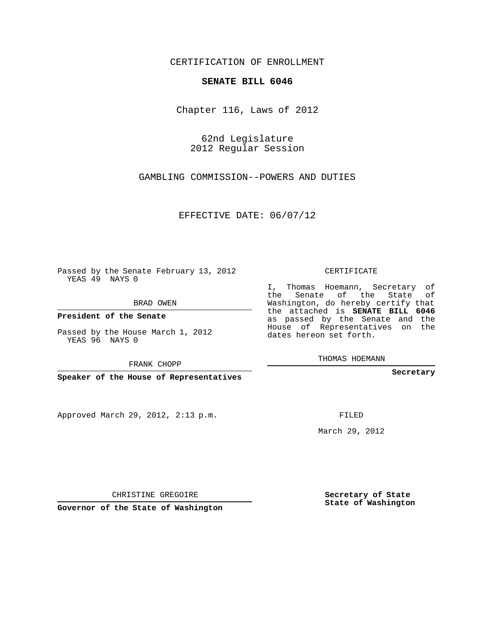## CERTIFICATION OF ENROLLMENT

## **SENATE BILL 6046**

Chapter 116, Laws of 2012

62nd Legislature 2012 Regular Session

GAMBLING COMMISSION--POWERS AND DUTIES

EFFECTIVE DATE: 06/07/12

Passed by the Senate February 13, 2012 YEAS 49 NAYS 0

BRAD OWEN

**President of the Senate**

Passed by the House March 1, 2012 YEAS 96 NAYS 0

FRANK CHOPP

**Speaker of the House of Representatives**

Approved March 29, 2012, 2:13 p.m.

CERTIFICATE

I, Thomas Hoemann, Secretary of the Senate of the State of Washington, do hereby certify that the attached is **SENATE BILL 6046** as passed by the Senate and the House of Representatives on the dates hereon set forth.

THOMAS HOEMANN

**Secretary**

FILED

March 29, 2012

**Secretary of State State of Washington**

CHRISTINE GREGOIRE

**Governor of the State of Washington**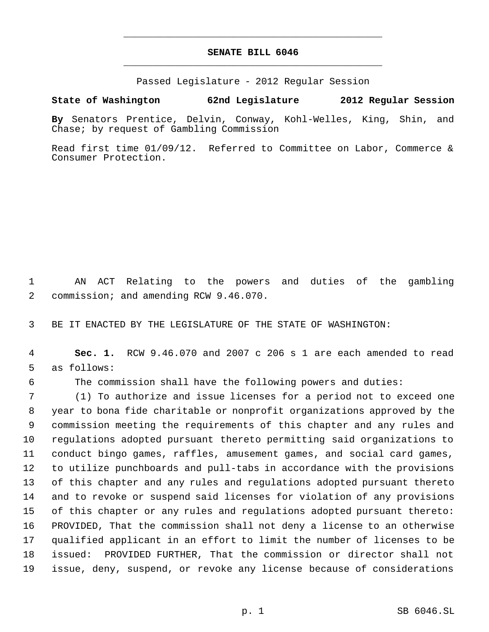## **SENATE BILL 6046** \_\_\_\_\_\_\_\_\_\_\_\_\_\_\_\_\_\_\_\_\_\_\_\_\_\_\_\_\_\_\_\_\_\_\_\_\_\_\_\_\_\_\_\_\_

\_\_\_\_\_\_\_\_\_\_\_\_\_\_\_\_\_\_\_\_\_\_\_\_\_\_\_\_\_\_\_\_\_\_\_\_\_\_\_\_\_\_\_\_\_

Passed Legislature - 2012 Regular Session

## **State of Washington 62nd Legislature 2012 Regular Session**

**By** Senators Prentice, Delvin, Conway, Kohl-Welles, King, Shin, and Chase; by request of Gambling Commission

Read first time 01/09/12. Referred to Committee on Labor, Commerce & Consumer Protection.

 AN ACT Relating to the powers and duties of the gambling commission; and amending RCW 9.46.070.

BE IT ENACTED BY THE LEGISLATURE OF THE STATE OF WASHINGTON:

 **Sec. 1.** RCW 9.46.070 and 2007 c 206 s 1 are each amended to read as follows:

The commission shall have the following powers and duties:

 (1) To authorize and issue licenses for a period not to exceed one year to bona fide charitable or nonprofit organizations approved by the commission meeting the requirements of this chapter and any rules and regulations adopted pursuant thereto permitting said organizations to conduct bingo games, raffles, amusement games, and social card games, to utilize punchboards and pull-tabs in accordance with the provisions of this chapter and any rules and regulations adopted pursuant thereto and to revoke or suspend said licenses for violation of any provisions of this chapter or any rules and regulations adopted pursuant thereto: PROVIDED, That the commission shall not deny a license to an otherwise qualified applicant in an effort to limit the number of licenses to be issued: PROVIDED FURTHER, That the commission or director shall not issue, deny, suspend, or revoke any license because of considerations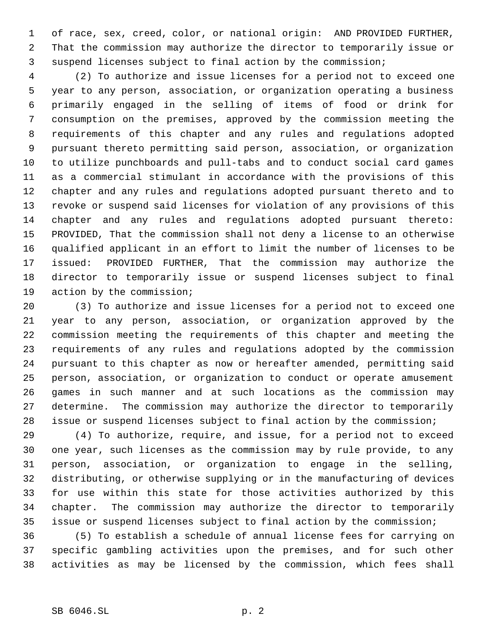of race, sex, creed, color, or national origin: AND PROVIDED FURTHER, That the commission may authorize the director to temporarily issue or suspend licenses subject to final action by the commission;

 (2) To authorize and issue licenses for a period not to exceed one year to any person, association, or organization operating a business primarily engaged in the selling of items of food or drink for consumption on the premises, approved by the commission meeting the requirements of this chapter and any rules and regulations adopted pursuant thereto permitting said person, association, or organization to utilize punchboards and pull-tabs and to conduct social card games as a commercial stimulant in accordance with the provisions of this chapter and any rules and regulations adopted pursuant thereto and to revoke or suspend said licenses for violation of any provisions of this chapter and any rules and regulations adopted pursuant thereto: PROVIDED, That the commission shall not deny a license to an otherwise qualified applicant in an effort to limit the number of licenses to be issued: PROVIDED FURTHER, That the commission may authorize the director to temporarily issue or suspend licenses subject to final action by the commission;

 (3) To authorize and issue licenses for a period not to exceed one year to any person, association, or organization approved by the commission meeting the requirements of this chapter and meeting the requirements of any rules and regulations adopted by the commission pursuant to this chapter as now or hereafter amended, permitting said person, association, or organization to conduct or operate amusement games in such manner and at such locations as the commission may determine. The commission may authorize the director to temporarily issue or suspend licenses subject to final action by the commission;

 (4) To authorize, require, and issue, for a period not to exceed one year, such licenses as the commission may by rule provide, to any person, association, or organization to engage in the selling, distributing, or otherwise supplying or in the manufacturing of devices for use within this state for those activities authorized by this chapter. The commission may authorize the director to temporarily issue or suspend licenses subject to final action by the commission;

 (5) To establish a schedule of annual license fees for carrying on specific gambling activities upon the premises, and for such other activities as may be licensed by the commission, which fees shall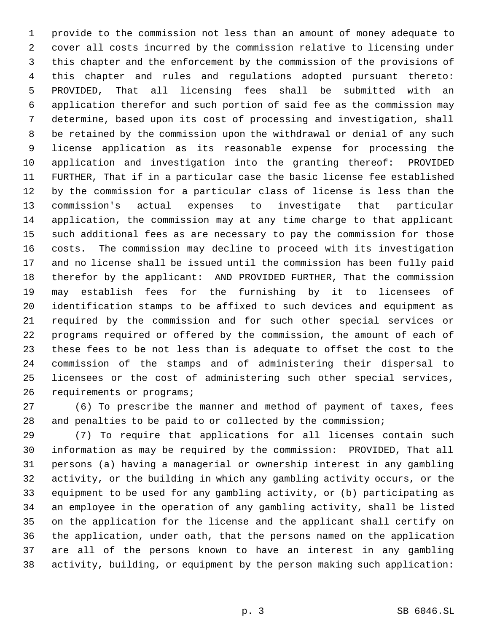provide to the commission not less than an amount of money adequate to cover all costs incurred by the commission relative to licensing under this chapter and the enforcement by the commission of the provisions of this chapter and rules and regulations adopted pursuant thereto: PROVIDED, That all licensing fees shall be submitted with an application therefor and such portion of said fee as the commission may determine, based upon its cost of processing and investigation, shall be retained by the commission upon the withdrawal or denial of any such license application as its reasonable expense for processing the application and investigation into the granting thereof: PROVIDED FURTHER, That if in a particular case the basic license fee established by the commission for a particular class of license is less than the commission's actual expenses to investigate that particular application, the commission may at any time charge to that applicant such additional fees as are necessary to pay the commission for those costs. The commission may decline to proceed with its investigation and no license shall be issued until the commission has been fully paid therefor by the applicant: AND PROVIDED FURTHER, That the commission may establish fees for the furnishing by it to licensees of identification stamps to be affixed to such devices and equipment as required by the commission and for such other special services or programs required or offered by the commission, the amount of each of these fees to be not less than is adequate to offset the cost to the commission of the stamps and of administering their dispersal to licensees or the cost of administering such other special services, 26 requirements or programs;

 (6) To prescribe the manner and method of payment of taxes, fees and penalties to be paid to or collected by the commission;

 (7) To require that applications for all licenses contain such information as may be required by the commission: PROVIDED, That all persons (a) having a managerial or ownership interest in any gambling activity, or the building in which any gambling activity occurs, or the equipment to be used for any gambling activity, or (b) participating as an employee in the operation of any gambling activity, shall be listed on the application for the license and the applicant shall certify on the application, under oath, that the persons named on the application are all of the persons known to have an interest in any gambling activity, building, or equipment by the person making such application: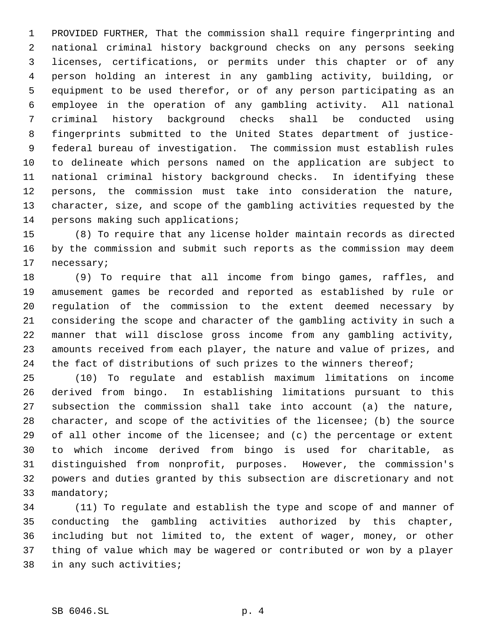PROVIDED FURTHER, That the commission shall require fingerprinting and national criminal history background checks on any persons seeking licenses, certifications, or permits under this chapter or of any person holding an interest in any gambling activity, building, or equipment to be used therefor, or of any person participating as an employee in the operation of any gambling activity. All national criminal history background checks shall be conducted using fingerprints submitted to the United States department of justice- federal bureau of investigation. The commission must establish rules to delineate which persons named on the application are subject to national criminal history background checks. In identifying these persons, the commission must take into consideration the nature, character, size, and scope of the gambling activities requested by the 14 persons making such applications;

 (8) To require that any license holder maintain records as directed by the commission and submit such reports as the commission may deem necessary;

 (9) To require that all income from bingo games, raffles, and amusement games be recorded and reported as established by rule or regulation of the commission to the extent deemed necessary by considering the scope and character of the gambling activity in such a manner that will disclose gross income from any gambling activity, amounts received from each player, the nature and value of prizes, and 24 the fact of distributions of such prizes to the winners thereof;

 (10) To regulate and establish maximum limitations on income derived from bingo. In establishing limitations pursuant to this subsection the commission shall take into account (a) the nature, character, and scope of the activities of the licensee; (b) the source of all other income of the licensee; and (c) the percentage or extent to which income derived from bingo is used for charitable, as distinguished from nonprofit, purposes. However, the commission's powers and duties granted by this subsection are discretionary and not mandatory;

 (11) To regulate and establish the type and scope of and manner of conducting the gambling activities authorized by this chapter, including but not limited to, the extent of wager, money, or other thing of value which may be wagered or contributed or won by a player in any such activities;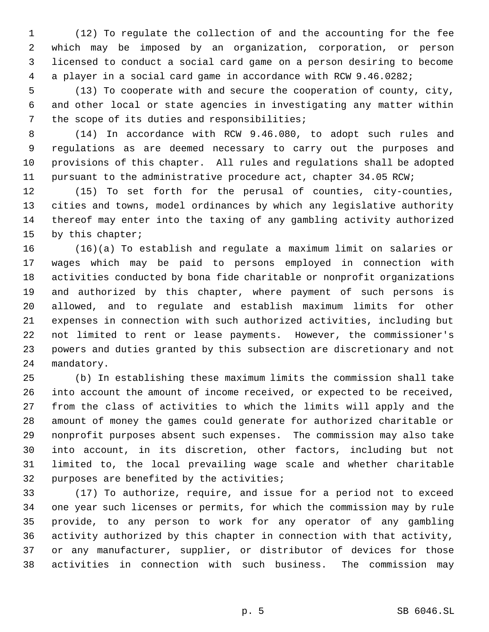(12) To regulate the collection of and the accounting for the fee which may be imposed by an organization, corporation, or person licensed to conduct a social card game on a person desiring to become a player in a social card game in accordance with RCW 9.46.0282;

 (13) To cooperate with and secure the cooperation of county, city, and other local or state agencies in investigating any matter within the scope of its duties and responsibilities;

 (14) In accordance with RCW 9.46.080, to adopt such rules and regulations as are deemed necessary to carry out the purposes and provisions of this chapter. All rules and regulations shall be adopted 11 pursuant to the administrative procedure act, chapter 34.05 RCW;

 (15) To set forth for the perusal of counties, city-counties, cities and towns, model ordinances by which any legislative authority thereof may enter into the taxing of any gambling activity authorized by this chapter;

 (16)(a) To establish and regulate a maximum limit on salaries or wages which may be paid to persons employed in connection with activities conducted by bona fide charitable or nonprofit organizations and authorized by this chapter, where payment of such persons is allowed, and to regulate and establish maximum limits for other expenses in connection with such authorized activities, including but not limited to rent or lease payments. However, the commissioner's powers and duties granted by this subsection are discretionary and not mandatory.

 (b) In establishing these maximum limits the commission shall take into account the amount of income received, or expected to be received, from the class of activities to which the limits will apply and the amount of money the games could generate for authorized charitable or nonprofit purposes absent such expenses. The commission may also take into account, in its discretion, other factors, including but not limited to, the local prevailing wage scale and whether charitable purposes are benefited by the activities;

 (17) To authorize, require, and issue for a period not to exceed one year such licenses or permits, for which the commission may by rule provide, to any person to work for any operator of any gambling activity authorized by this chapter in connection with that activity, or any manufacturer, supplier, or distributor of devices for those activities in connection with such business. The commission may